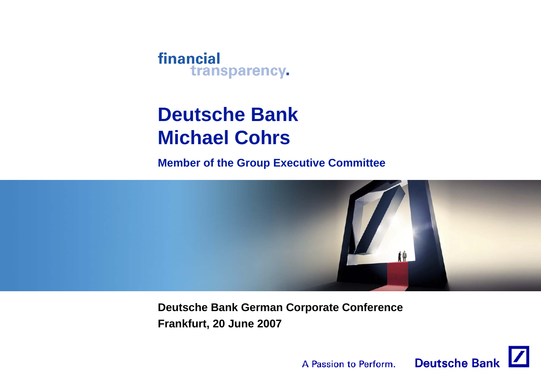

# **Deutsche BankMichael Cohrs**

**Member of the Group Executive Committee**



**Deutsche Bank German Corporate Conference Frankfurt, 20 June 2007**

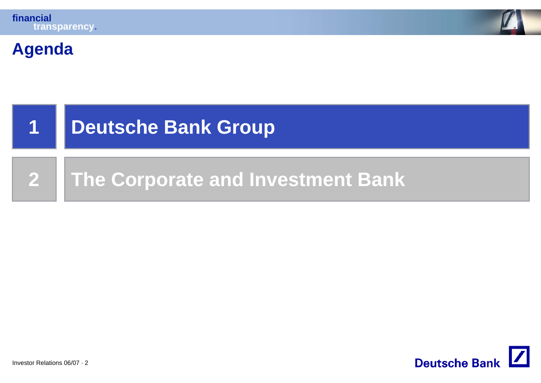



#### **Agenda**



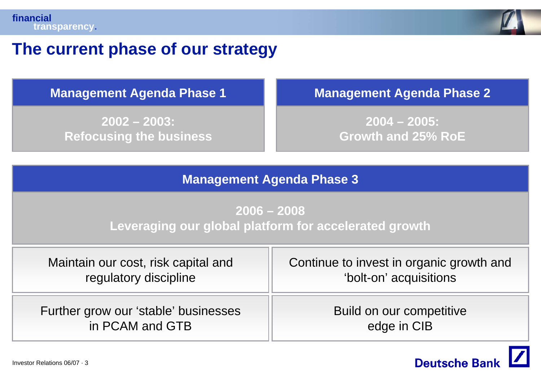

#### **The current phase of our strategy**

**2002 – 2003: Refocusing the business**

**Management Agenda Phase 1 Management Agenda Phase 2**

**2004 – 2005: Growth and 25% RoE**

#### **Management Agenda Phase 3**

**2006 – 2008Leveraging our global platform for accelerated growth**

| Maintain our cost, risk capital and  | Continue to invest in organic growth and |  |
|--------------------------------------|------------------------------------------|--|
| regulatory discipline                | 'bolt-on' acquisitions                   |  |
| Further grow our 'stable' businesses | Build on our competitive                 |  |
| in PCAM and GTB                      | edge in CIB                              |  |

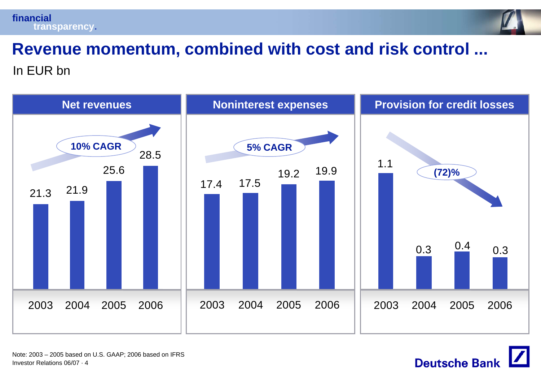



# **Revenue momentum, combined with cost and risk control ...**

In EUR bn



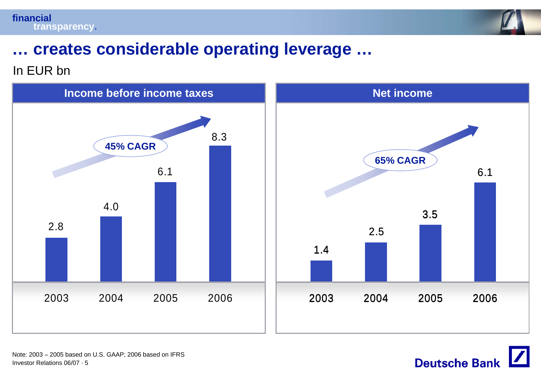



## **… creates considerable operating leverage …**

#### In EUR bn



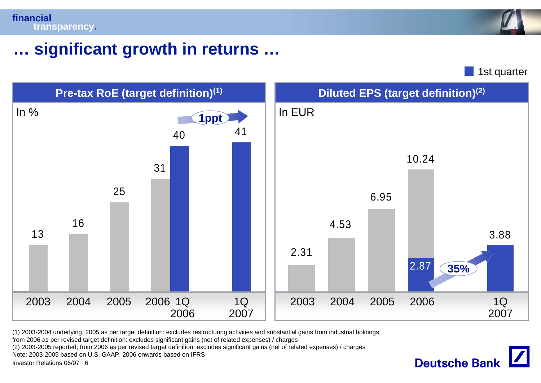

# **… significant growth in returns …**

1st quarter

**Deutsche Bank** 



(1) 2003-2004 underlying; 2005 as per target definition: excludes restructuring activities and substantial gains from industrial holdings;

from 2006 as per revised target definition: excludes significant gains (net of related expenses) / charges

(2) 2003-2005 reported; from 2006 as per revised target definition: excludes significant gains (net of related expenses) / charges

Note: 2003-2005 based on U.S. GAAP, 2006 onwards based on IFRS

Investor Relations 06/07 · 6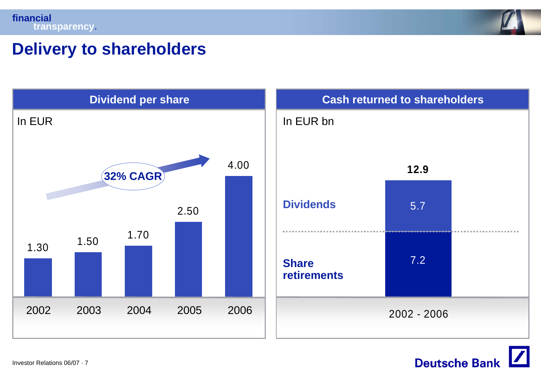

## **Delivery to shareholders**



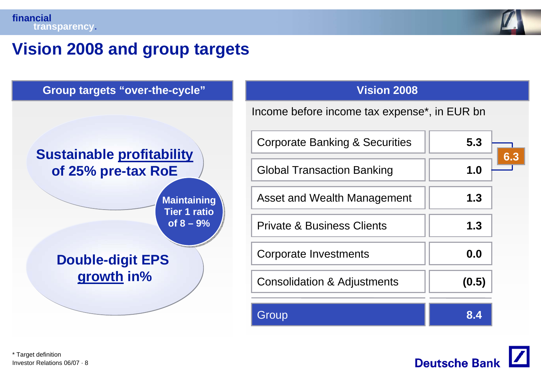

**6.3**

## **Vision 2008 and group targets**



Investor Relations 06/07 · 8\* Target definition

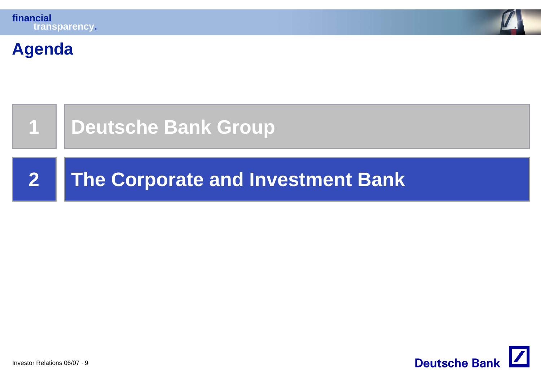



#### **Agenda**



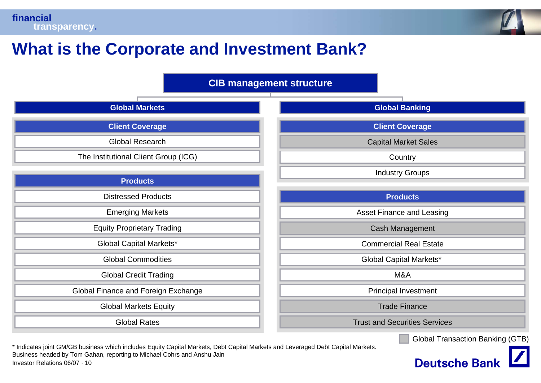



**Deutsche Bank** 

# **What is the Corporate and Investment Bank?**

**CIB management structure**

| <b>Global Markets</b>                | <b>Global Banking</b>                   |  |
|--------------------------------------|-----------------------------------------|--|
| <b>Client Coverage</b>               | <b>Client Coverage</b>                  |  |
| <b>Global Research</b>               | <b>Capital Market Sales</b>             |  |
| The Institutional Client Group (ICG) | Country                                 |  |
| <b>Products</b>                      | <b>Industry Groups</b>                  |  |
| <b>Distressed Products</b>           | <b>Products</b>                         |  |
| <b>Emerging Markets</b>              | <b>Asset Finance and Leasing</b>        |  |
| <b>Equity Proprietary Trading</b>    | Cash Management                         |  |
| Global Capital Markets*              | <b>Commercial Real Estate</b>           |  |
| <b>Global Commodities</b>            | <b>Global Capital Markets*</b>          |  |
| <b>Global Credit Trading</b>         | M&A                                     |  |
| Global Finance and Foreign Exchange  | Principal Investment                    |  |
| <b>Global Markets Equity</b>         | <b>Trade Finance</b>                    |  |
| <b>Global Rates</b>                  | <b>Trust and Securities Services</b>    |  |
|                                      | <b>Global Transaction Banking (GTB)</b> |  |

Investor Relations 06/07 · 10\* Indicates joint GM/GB business which includes Equity Capital Markets, Debt Capital Markets and Leveraged Debt Capital Markets. Business headed by Tom Gahan, reporting to Michael Cohrs and Anshu Jain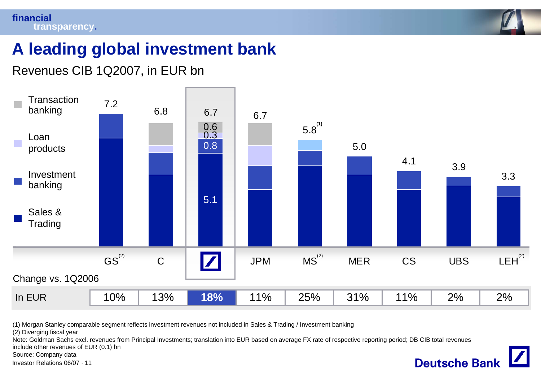

**Deutsche Bank** 

# **A leading global investment bank**

#### Revenues CIB 1Q2007, in EUR bn



(1) Morgan Stanley comparable segment reflects investment revenues not included in Sales & Trading / Investment banking

(2) Diverging fiscal year

Note: Goldman Sachs excl. revenues from Principal Investments; translation into EUR based on average FX rate of respective reporting period; DB CIB total revenues

include other revenues of EUR (0.1) bn

Source: Company data

Investor Relations 06/07 · 11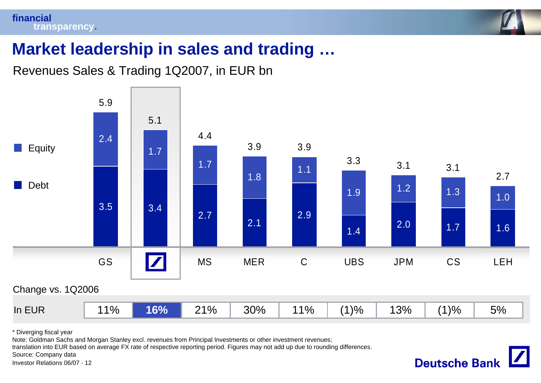#### **financialtransparency.**



**Deutsche Bank** 

# **Market leadership in sales and trading …**

Revenues Sales & Trading 1Q2007, in EUR bn



\* Diverging fiscal year

Note: Goldman Sachs and Morgan Stanley excl. revenues from Principal Investments or other investment revenues;

translation into EUR based on average FX rate of respective reporting period. Figures may not add up due to rounding differences.

Source: Company data

Investor Relations 06/07 · 12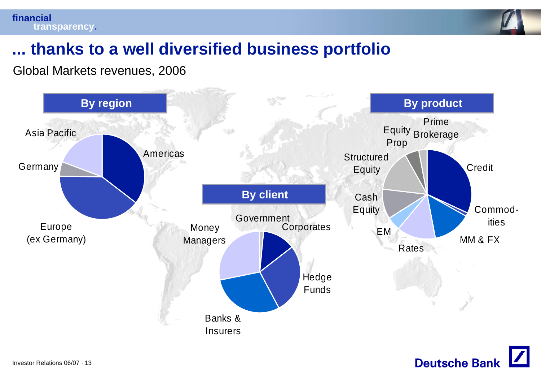**financialtransparency.**



## **... thanks to a well diversified business portfolio**

Global Markets revenues, 2006



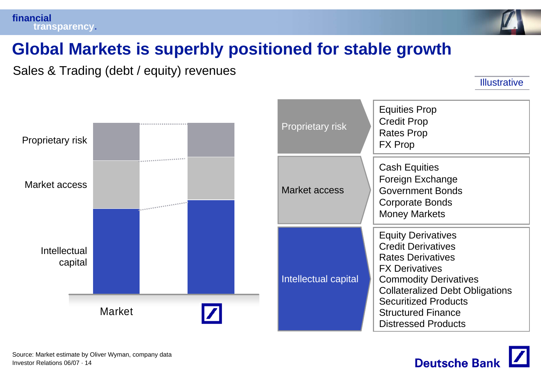

# **Global Markets is superbly positioned for stable growth**

Sales & Trading (debt / equity) revenues

**Illustrative** 



| <b>Proprietary risk</b> | <b>Equities Prop</b><br><b>Credit Prop</b><br><b>Rates Prop</b><br><b>FX Prop</b>                                                                                                                                                                                               |
|-------------------------|---------------------------------------------------------------------------------------------------------------------------------------------------------------------------------------------------------------------------------------------------------------------------------|
| Market access           | <b>Cash Equities</b><br><b>Foreign Exchange</b><br><b>Government Bonds</b><br>Corporate Bonds<br><b>Money Markets</b>                                                                                                                                                           |
| Intellectual capital    | <b>Equity Derivatives</b><br><b>Credit Derivatives</b><br><b>Rates Derivatives</b><br><b>FX Derivatives</b><br><b>Commodity Derivatives</b><br><b>Collateralized Debt Obligations</b><br><b>Securitized Products</b><br><b>Structured Finance</b><br><b>Distressed Products</b> |

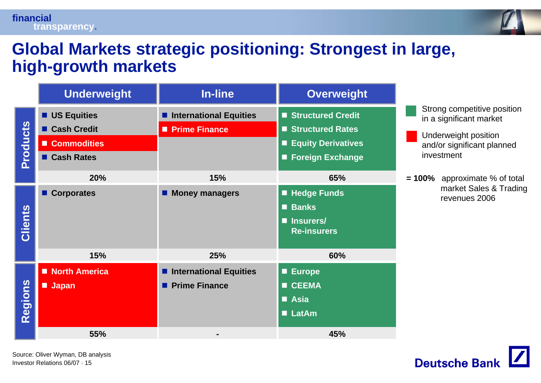#### **financialtransparency.**



#### **Global Markets strategic positioning: Strongest in large, high-growth markets**

|                 | <b>Underweight</b>                                                      | In-line                                          | <b>Overweight</b>                                                                        |                                                                                                                            |
|-----------------|-------------------------------------------------------------------------|--------------------------------------------------|------------------------------------------------------------------------------------------|----------------------------------------------------------------------------------------------------------------------------|
| <b>Products</b> | <b>US Equities</b><br><b>Cash Credit</b><br>Commodities<br>■ Cash Rates | ■ International Equities<br><b>Prime Finance</b> | Structured Credit<br>Structured Rates<br><b>Equity Derivatives</b><br>■ Foreign Exchange | Strong competitive position<br>in a significant market<br>Underweight position<br>and/or significant planned<br>investment |
|                 | 20%                                                                     | 15%                                              | 65%                                                                                      | $= 100\%$ approximate % of total<br>market Sales & Trading                                                                 |
| Clients         | ■ Corporates                                                            | <b>Money managers</b>                            | <b>E</b> Hedge Funds<br><b>Banks</b><br><b>Insurers/</b><br><b>Re-insurers</b>           | revenues 2006                                                                                                              |
|                 | 15%                                                                     | 25%                                              | 60%                                                                                      |                                                                                                                            |
| Regions         | North America<br><b>Japan</b>                                           | ■ International Equities<br><b>Prime Finance</b> | <b>Europe</b><br><b>CEEMA</b><br>■ Asia<br><b>LatAm</b>                                  |                                                                                                                            |
|                 | 55%                                                                     |                                                  | 45%                                                                                      |                                                                                                                            |

Investor Relations 06/07 · 15Source: Oliver Wyman, DB analysis

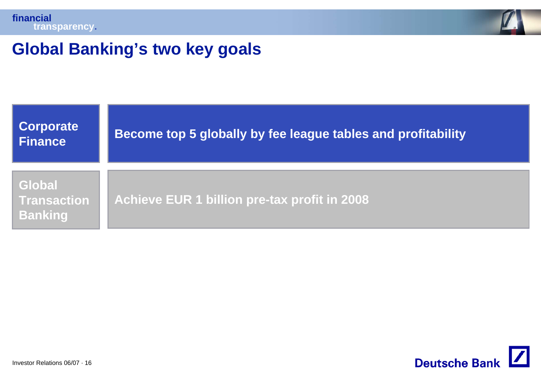



## **Global Banking's two key goals**



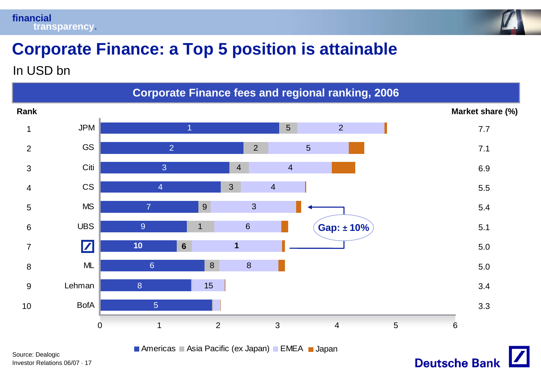



**Deutsche Bank** 

# **Corporate Finance: a Top 5 position is attainable**

In USD bn



Investor Relations 06/07 · 17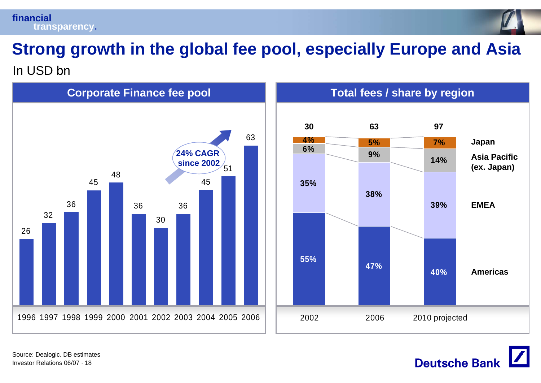



In USD bn



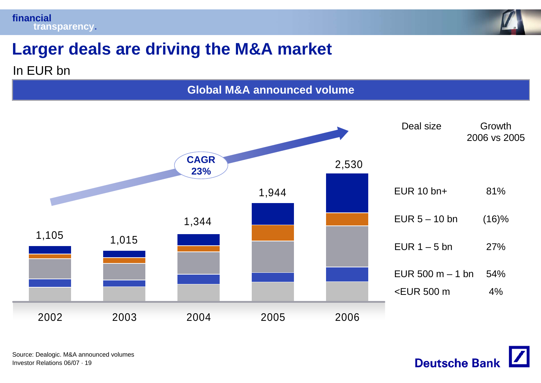

# **Larger deals are driving the M&A market**

#### In EUR bn

**Global M&A announced volume**



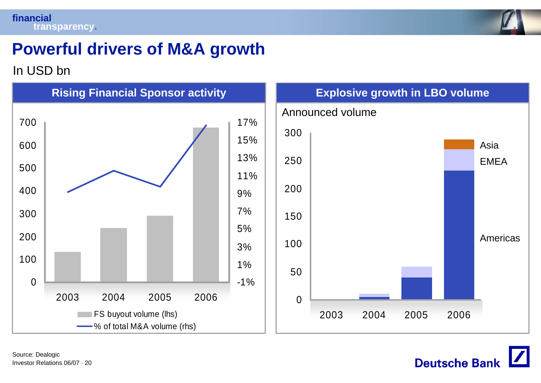

# **Powerful drivers of M&A growth**

#### In USD bn



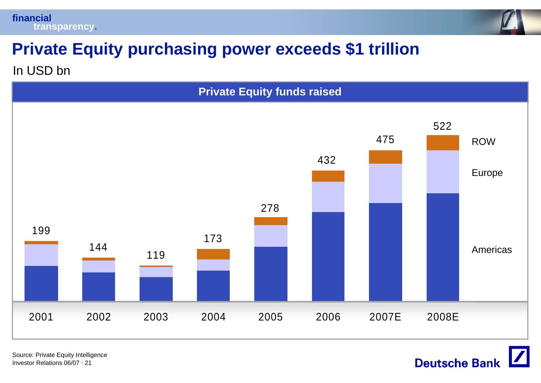



# **Private Equity purchasing power exceeds \$1 trillion**

In USD bn



Investor Relations 06/07 · 21Source: Private Equity Intelligence **Deutsche Bank**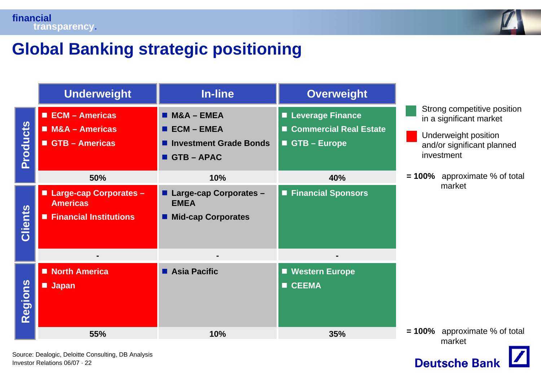



# **Global Banking strategic positioning**

|                 | <b>Underweight</b>                                                                                  | <b>In-line</b>                                                                  | <b>Overweight</b>                                                       |                                                                                                                            |
|-----------------|-----------------------------------------------------------------------------------------------------|---------------------------------------------------------------------------------|-------------------------------------------------------------------------|----------------------------------------------------------------------------------------------------------------------------|
| <b>Products</b> | ECM - Americas<br><b>M&amp;A - Americas</b><br>GTB - Americas                                       | $MSA - EMEA$<br>$\blacksquare$ ECM – EMEA<br>Investment Grade Bonds<br>GTB-APAC | <b>ELeverage Finance</b><br><b>Commercial Real Estate</b><br>GTB-Europe | Strong competitive position<br>in a significant market<br>Underweight position<br>and/or significant planned<br>investment |
|                 | 50%                                                                                                 | 10%                                                                             | 40%                                                                     | $= 100\%$ approximate % of total                                                                                           |
| <b>Clients</b>  | ■ Large-cap Corporates -<br><b>Americas</b><br><b>Financial Institutions</b><br>$\blacksquare$<br>٠ | <b>Large-cap Corporates -</b><br><b>EMEA</b><br><b>Mid-cap Corporates</b>       | ■ Financial Sponsors                                                    | market                                                                                                                     |
| Regions         | North America<br><b>Japan</b>                                                                       | <b>Asia Pacific</b>                                                             | <b>Western Europe</b><br><b>CEEMA</b><br>П                              |                                                                                                                            |
|                 | 55%                                                                                                 | 10%                                                                             | 35%                                                                     | $= 100\%$ approximate % of total<br>market                                                                                 |

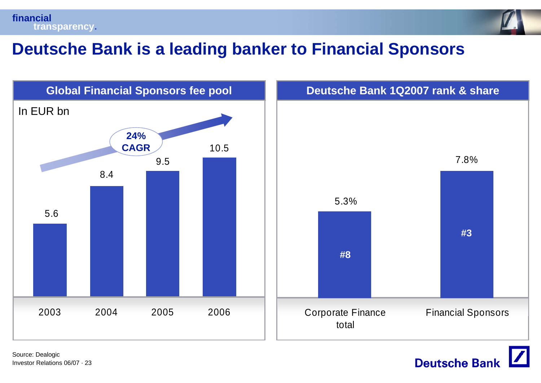



## **Deutsche Bank is a leading banker to Financial Sponsors**



**Deutsche Bank**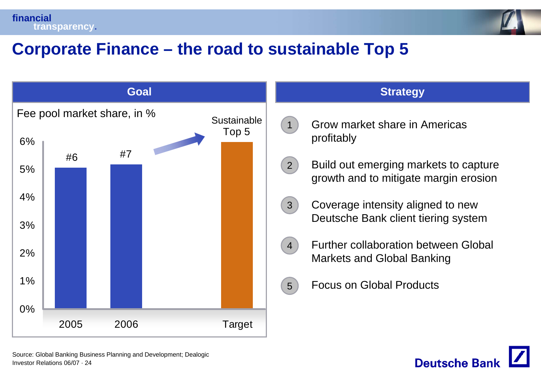



# **Corporate Finance – the road to sustainable Top 5**





Investor Relations 06/07 · 24Source: Global Banking Business Planning and Development; Dealogic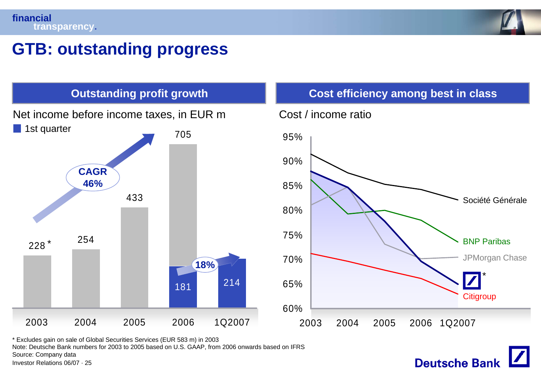

**Deutsche Bank** 

### **GTB: outstanding progress**



\* Excludes gain on sale of Global Securities Services (EUR 583 m) in 2003

Note: Deutsche Bank numbers for 2003 to 2005 based on U.S. GAAP, from 2006 onwards based on IFRS

Source: Company data

Investor Relations 06/07 · 25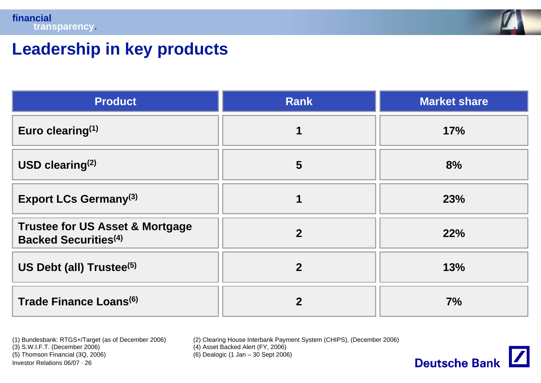

## **Leadership in key products**

| <b>Product</b>                                                                        | <b>Rank</b>    | <b>Market share</b> |
|---------------------------------------------------------------------------------------|----------------|---------------------|
| Euro clearing $(1)$                                                                   |                | 17%                 |
| USD clearing $(2)$                                                                    | $5\phantom{1}$ | 8%                  |
| <b>Export LCs Germany(3)</b>                                                          |                | 23%                 |
| <b>Trustee for US Asset &amp; Mortgage</b><br><b>Backed Securities</b> <sup>(4)</sup> | $\overline{2}$ | 22%                 |
| US Debt (all) Trustee <sup>(5)</sup>                                                  | $\overline{2}$ | 13%                 |
| Trade Finance Loans <sup>(6)</sup>                                                    | $\mathbf{2}$   | 7%                  |

(1) Bundesbank: RTGS+/Target (as of December 2006) (2) Clearing House Interbank Payment System (CHIPS), (December 2006)  $(4)$  Asset Backed Alert (FY, 2006)

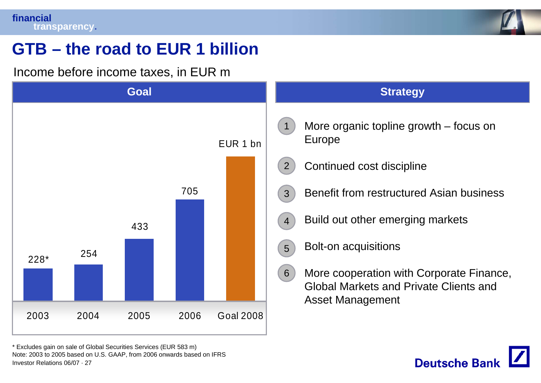

**Deutsche Banl** 

# **GTB – the road to EUR 1 billion**

Income before income taxes, in EUR m



Investor Relations 06/07 · 27\* Excludes gain on sale of Global Securities Services (EUR 583 m) Note: 2003 to 2005 based on U.S. GAAP, from 2006 onwards based on IFRS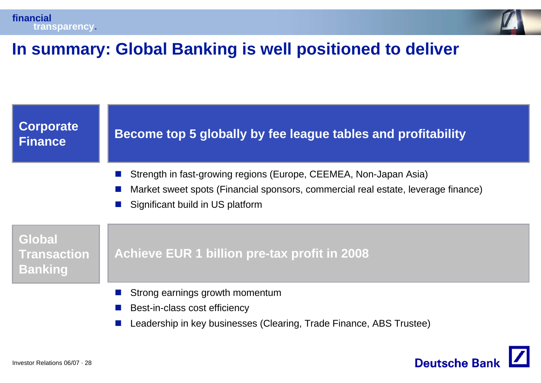



# **In summary: Global Banking is well positioned to deliver**